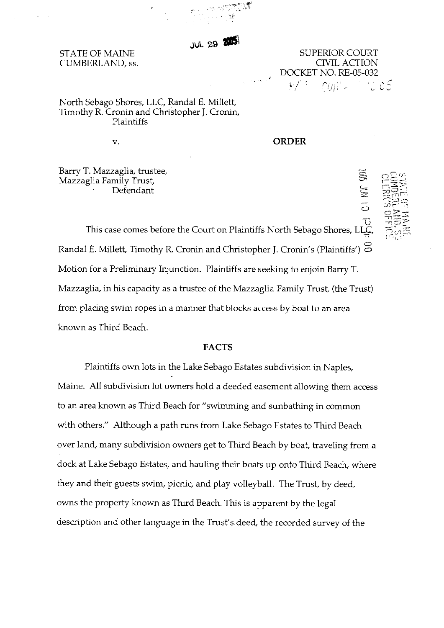**JUL 29 200** 

# STATE OF MAINE CUMBERLAND, ss.

SUPERIOR COURT CIVIL ACTION DOCKET NO. RE-05-032

 $01$  NOC  $500$ 

North Sebago Shores, LLC, Randal E. Millett, Timothy R. Cronin and Christopher J. Cronin, Plaintiffs

v.

#### **ORDER**

Barry T. Mazzaglia, trustee, Mazzaglia Family Trust, Defendant

U<br>This case comes before the Court on Plaintiffs North Sebago Shores, LLC Randal E. Millett, Timothy R. Cronin and Christopher J. Cronin's (Plaintiffs')  $\Xi$ Motion for a Preliminary Injunction. Plaintiffs are seeking to enjoin Barry T. Mazzaglia, in his capacity as a trustee of the Mazzaglia Family Trust, (the Trust) from placing swim ropes in a manner that blocks access by boat to an area known as Third Beach.

# **FACTS**

Plaintiffs own lots in the Lake Sebago Estates subdivision in Naples, Maine. All subdivision lot owners hold a deeded easement allowing them access to an area known as Third Beach for "swimming and sunbathing in common with others." Although a path runs from Lake Sebago Estates to Third Beach over land, many subdivision owners get to Third Beach by boat, traveling from a dock at Lake Sebago Estates, and hauling their boats up onto Third Beach, where they and their guests swim, picnic, and play volleyball. The Trust, by deed, owns the property known as Third Beach. This is apparent by the legal description and other language in the Trust's deed, the recorded survey of the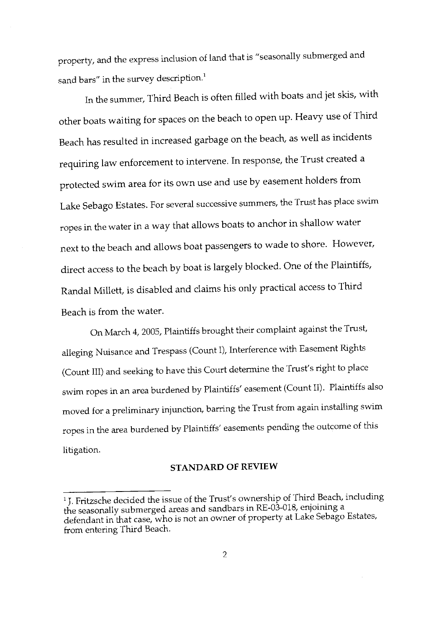property, and the express inclusion of land that is "seasonally submerged and sand bars" in the survey description.<sup>1</sup>

In the summer, Third Beach is often filled with boats and jet skis, with other boats waiting for spaces on the beach to open up. Heavy use of Third Beach has resulted in increased garbage on the beach, as well as incidents requiring law enforcement to intervene. In response, the Trust created a protected swim area for its own use and use by easement holders from Lake Sebago Estates. For several successive summers, the Trust has place swim ropes in the water in a way that allows boats to anchor in shallow water next to the beach and allows boat passengers to wade to shore. However, direct access to the beach by boat is largely blocked. One of the Plaintiffs, Randal Millett, is disabled and claims his only practical access to Third Beach is from the water.

On March 4, 2005, Plaintiffs brought their complaint against the Trust, alleging Nuisance and Trespass (Count I), Interference with Easement Rights (Count III) and seeking to have this Court determine the Trust's right to place swim ropes in an area burdened by Plaintiffs' easement (Count II). Plaintiffs also moved for a preliminary injunction, barring the Trust from again installing swim ropes in the area burdened by Plaintiffs' easements pending the outcome of this litigation.

### **STANDARD OF REVIEW**

<sup>&</sup>lt;sup>1</sup> J. Fritzsche decided the issue of the Trust's ownership of Third Beach, including the seasonally submerged areas and sandbars in RE-03-018, enjoining a defendant in that case, who is not an owner of property at Lake Sebago Estates, from entering Third Beach.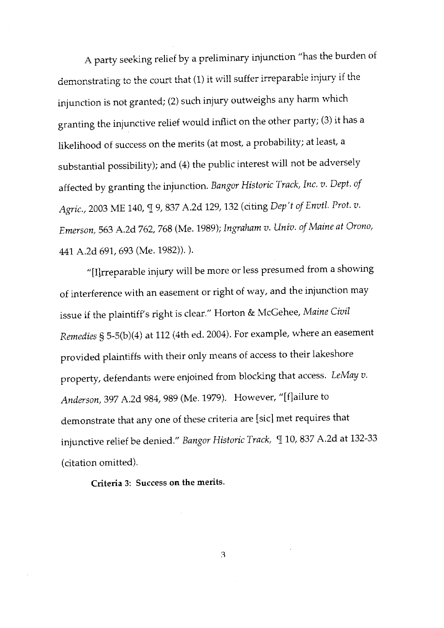A party seeking relief by a preliminary injunction "has the burden of demonstrating to the court that (1) it will suffer irreparable injury if the injunction is not granted; (2) such injury outweighs any harm which granting the injunctive relief would inflict on the other party; (3) it has a likelihood of success on the merits (at most, a probability; at least, a substantial possibility); and (4) the public interest will not be adversely affected by granting the injunction. Bangor Historic Track, Inc. v. Dept. of Agric., 2003 ME 140, [ 9, 837 A.2d 129, 132 (citing Dep't of Envtl. Prot. v. Emerson, 563 A.2d 762, 768 (Me. 1989); Ingraham v. Univ. of Maine at Orono, 441 A.2d 691, 693 (Me. 1982)).).

"[I]rreparable injury will be more or less presumed from a showing of interference with an easement or right of way, and the injunction may issue if the plaintiff's right is clear." Horton & McGehee, Maine Civil Remedies § 5-5(b)(4) at 112 (4th ed. 2004). For example, where an easement provided plaintiffs with their only means of access to their lakeshore property, defendants were enjoined from blocking that access. LeMay v. Anderson, 397 A.2d 984, 989 (Me. 1979). However, "[f]ailure to demonstrate that any one of these criteria are [sic] met requires that injunctive relief be denied." Bangor Historic Track, [10, 837 A.2d at 132-33 (citation omitted).

Criteria 3: Success on the merits.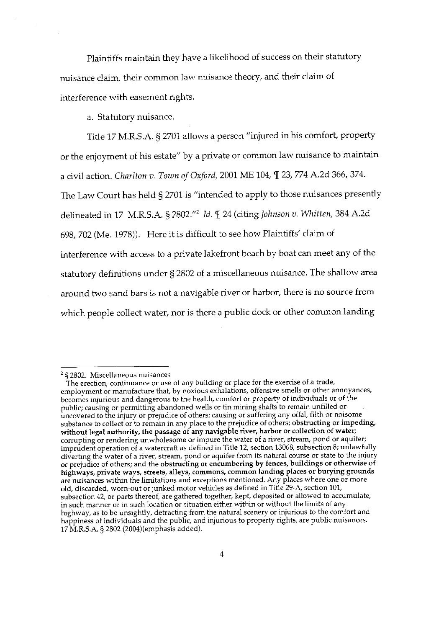Plaintiffs maintain they have a likelihood of success on their statutory nuisance claim, their common law nuisance theory, and their claim of interference with easement rights.

a. Statutory nuisance.

Title 17 M.R.S.A. § 2701 allows a person "injured in his comfort, property or the enjoyment of his estate" by a private or common law nuisance to maintain a civil action. Charlton v. Town of Oxford, 2001 ME 104,  $\P$  23, 774 A.2d 366, 374. The Law Court has held § 2701 is "intended to apply to those nuisances presently delineated in 17 M.R.S.A. § 2802."<sup>2</sup> Id. ¶ 24 (citing Johnson v. Whitten, 384 A.2d 698, 702 (Me. 1978)). Here it is difficult to see how Plaintiffs' claim of interference with access to a private lakefront beach by boat can meet any of the statutory definitions under § 2802 of a miscellaneous nuisance. The shallow area around two sand bars is not a navigable river or harbor, there is no source from which people collect water, nor is there a public dock or other common landing

 $2$  § 2802. Miscellaneous nuisances

The erection, continuance or use of any building or place for the exercise of a trade, employment or manufacture that, by noxious exhalations, offensive smells or other annoyances, becomes injurious and dangerous to the health, comfort or property of individuals or of the public; causing or permitting abandoned wells or tin mining shafts to remain unfilled or uncovered to the injury or prejudice of others; causing or suffering any offal, filth or noisome substance to collect or to remain in any place to the prejudice of others; obstructing or impeding, without legal authority, the passage of any navigable river, harbor or collection of water; corrupting or rendering unwholesome or impure the water of a river, stream, pond or aquifer; imprudent operation of a watercraft as defined in Title 12, section 13068, subsection 8; unlawfully diverting the water of a river, stream, pond or aquifer from its natural course or state to the injury or prejudice of others; and the obstructing or encumbering by fences, buildings or otherwise of highways, private ways, streets, alleys, commons, common landing places or burying grounds are nuisances within the limitations and exceptions mentioned. Any places where one or more old, discarded, worn-out or junked motor vehicles as defined in Title 29-A, section 101, subsection 42, or parts thereof, are gathered together, kept, deposited or allowed to accumulate, in such manner or in such location or situation either within or without the limits of any highway, as to be unsightly, detracting from the natural scenery or injurious to the comfort and happiness of individuals and the public, and injurious to property rights, are public nuisances. 17 M.R.S.A. § 2802 (2004)(emphasis added).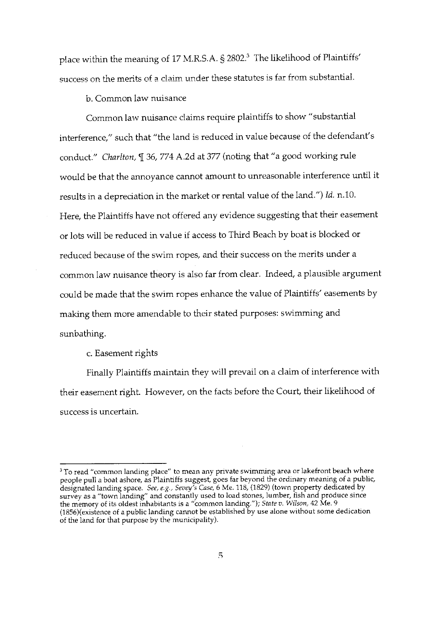place within the meaning of 17 M.R.S.A. § 2802.<sup>3</sup> The likelihood of Plaintiffs' success on the merits of a claim under these statutes is far from substantial.

b. Common law nuisance

Common law nuisance claims require plaintiffs to show "substantial interference," such that "the land is reduced in value because of the defendant's conduct." Charlton, I 36, 774 A.2d at 377 (noting that "a good working rule would be that the annoyance cannot amount to unreasonable interference until it results in a depreciation in the market or rental value of the land.") Id. n.10. Here, the Plaintiffs have not offered any evidence suggesting that their easement or lots will be reduced in value if access to Third Beach by boat is blocked or reduced because of the swim ropes, and their success on the merits under a common law nuisance theory is also far from clear. Indeed, a plausible argument could be made that the swim ropes enhance the value of Plaintiffs' easements by making them more amendable to their stated purposes: swimming and sunbathing.

c. Easement rights

Finally Plaintiffs maintain they will prevail on a claim of interference with their easement right. However, on the facts before the Court, their likelihood of success is uncertain.

<sup>&</sup>lt;sup>3</sup> To read "common landing place" to mean any private swimming area or lakefront beach where<br>people pull a boat ashore, as Plaintiffs suggest, goes far beyond the ordinary meaning of a public,<br>designated landing space. (1856) (existence of a public landing cannot be established by use alone without some dedication of the land for that purpose by the municipality).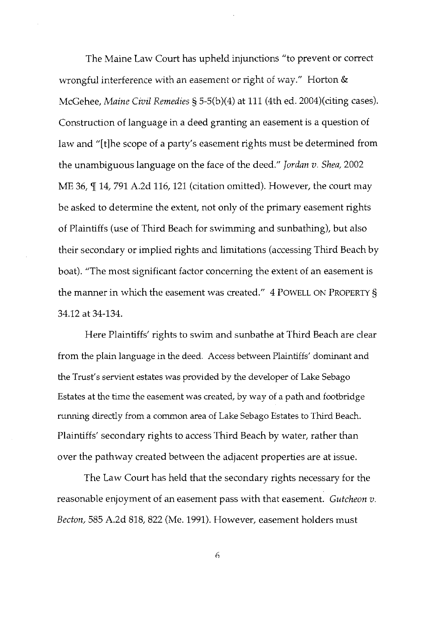The Maine Law Court has upheld injunctions "to prevent or correct wrongful interference with an easement or right of way." Horton & McGehee, Maine Civil Remedies § 5-5(b)(4) at 111 (4th ed. 2004)(citing cases). Construction of language in a deed granting an easement is a question of law and "[t] he scope of a party's easement rights must be determined from the unambiguous language on the face of the deed." Jordan v. Shea, 2002 ME 36, ¶ 14, 791 A.2d 116, 121 (citation omitted). However, the court may be asked to determine the extent, not only of the primary easement rights of Plaintiffs (use of Third Beach for swimming and sunbathing), but also their secondary or implied rights and limitations (accessing Third Beach by boat). "The most significant factor concerning the extent of an easement is the manner in which the easement was created." 4 POWELL ON PROPERTY § 34.12 at 34-134.

Here Plaintiffs' rights to swim and sunbathe at Third Beach are clear from the plain language in the deed. Access between Plaintiffs' dominant and the Trust's servient estates was provided by the developer of Lake Sebago Estates at the time the easement was created, by way of a path and footbridge running directly from a common area of Lake Sebago Estates to Third Beach. Plaintiffs' secondary rights to access Third Beach by water, rather than over the pathway created between the adjacent properties are at issue.

The Law Court has held that the secondary rights necessary for the reasonable enjoyment of an easement pass with that easement. Gutcheon v. Becton, 585 A.2d 818, 822 (Me. 1991). However, easement holders must

6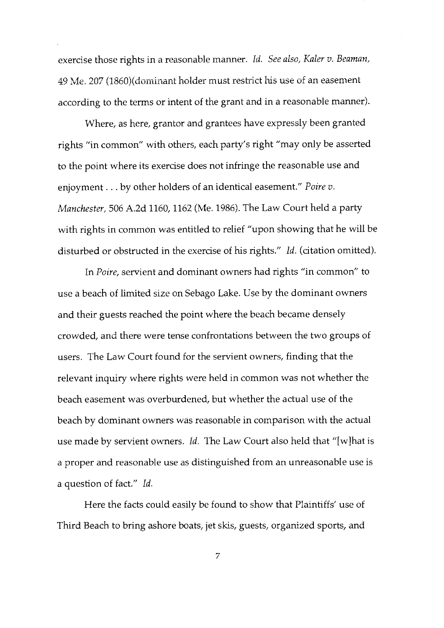exercise those rights in a reasonable manner. Id. See also, Kaler v. Beaman, 49 Me. 207 (1860)(dominant holder must restrict his use of an easement according to the terms or intent of the grant and in a reasonable manner).

Where, as here, grantor and grantees have expressly been granted rights "in common" with others, each party's right "may only be asserted to the point where its exercise does not infringe the reasonable use and enjoyment . . . by other holders of an identical easement." Poire v. Manchester, 506 A.2d 1160, 1162 (Me. 1986). The Law Court held a party with rights in common was entitled to relief "upon showing that he will be disturbed or obstructed in the exercise of his rights." *Id.* (citation omitted).

In Poire, servient and dominant owners had rights "in common" to use a beach of limited size on Sebago Lake. Use by the dominant owners and their guests reached the point where the beach became densely crowded, and there were tense confrontations between the two groups of users. The Law Court found for the servient owners, finding that the relevant inquiry where rights were held in common was not whether the beach easement was overburdened, but whether the actual use of the beach by dominant owners was reasonable in comparison with the actual use made by servient owners. Id. The Law Court also held that "[w] hat is a proper and reasonable use as distinguished from an unreasonable use is a question of fact." Id.

Here the facts could easily be found to show that Plaintiffs' use of Third Beach to bring ashore boats, jet skis, guests, organized sports, and

 $\overline{7}$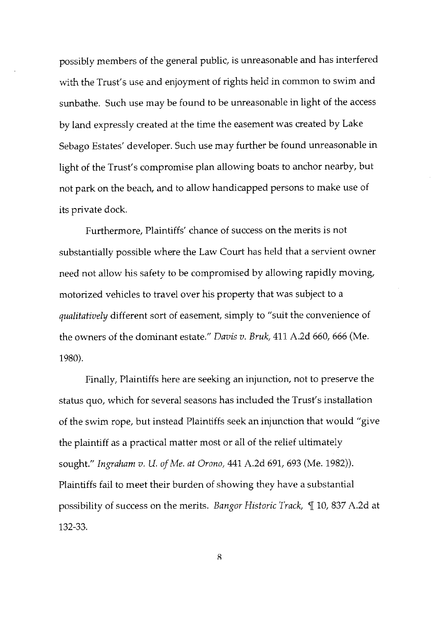possibly members of the general public, is unreasonable and has interfered with the Trust's use and enjoyment of rights held in common to swim and sunbathe. Such use may be found to be unreasonable in light of the access by land expressly created at the time the easement was created by Lake Sebago Estates' developer. Such use may further be found unreasonable in light of the Trust's compromise plan allowing boats to anchor nearby, but not park on the beach, and to allow handicapped persons to make use of its private dock.

Furthermore, Plaintiffs' chance of success on the merits is not substantially possible where the Law Court has held that a servient owner need not allow his safety to be compromised by allowing rapidly moving, motorized vehicles to travel over his property that was subject to a qualitatively different sort of easement, simply to "suit the convenience of the owners of the dominant estate." Davis v. Bruk, 411 A.2d 660, 666 (Me. 1980).

Finally, Plaintiffs here are seeking an injunction, not to preserve the status quo, which for several seasons has included the Trust's installation of the swim rope, but instead Plaintiffs seek an injunction that would "give the plaintiff as a practical matter most or all of the relief ultimately sought." Ingraham v. U. of Me. at Orono, 441 A.2d 691, 693 (Me. 1982)). Plaintiffs fail to meet their burden of showing they have a substantial possibility of success on the merits. Bangor Historic Track, 110, 837 A.2d at 132-33.

8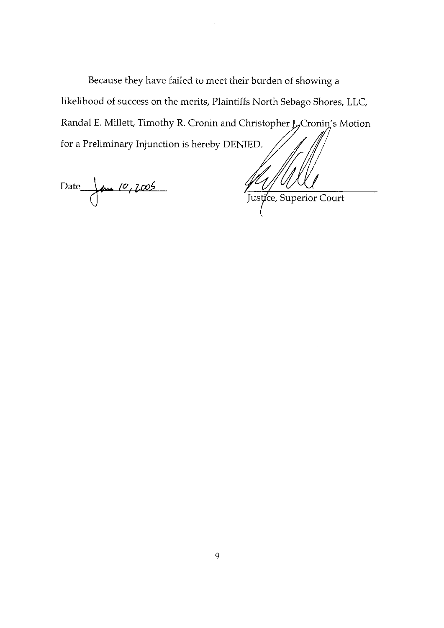Because they have failed to meet their burden of showing a likelihood of success on the merits, Plaintiffs North Sebago Shores, LLC, Randal E. Millett, Timothy R. Cronin and Christopher J<sub>7</sub>Cronin's Motion for a Preliminary Injunction is hereby DENIED.

Date Jane 10, 2005

Justice, Superior Court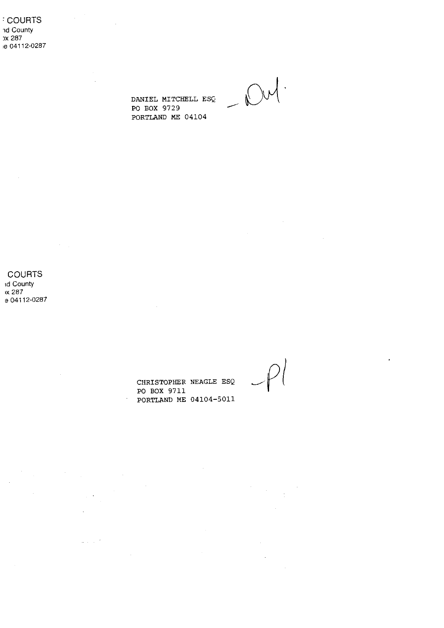**COURTS** ad County x 287 ie 04112-0287  $\label{eq:2.1} \frac{1}{2} \sum_{i=1}^n \frac{1}{2} \sum_{j=1}^n \frac{1}{2} \sum_{j=1}^n \frac{1}{2} \sum_{j=1}^n \frac{1}{2} \sum_{j=1}^n \frac{1}{2} \sum_{j=1}^n \frac{1}{2} \sum_{j=1}^n \frac{1}{2} \sum_{j=1}^n \frac{1}{2} \sum_{j=1}^n \frac{1}{2} \sum_{j=1}^n \frac{1}{2} \sum_{j=1}^n \frac{1}{2} \sum_{j=1}^n \frac{1}{2} \sum_{j=1}^n \frac{$ 

 $\mathbb{R}^2$ 

DANIEL MITCHELL ESQ PO BOX 9729 PORTLAND ME 04104

 $-\mathcal{N}$ 

**COURTS Id County** 

 $\sim$ 

x 287 e 04112-0287

 $\mathcal{L}^{\text{max}}_{\text{max}}$ 

 $\sim 10^{-1}$ 

 $\bar{z}$ 

 $\log\log\left(\frac{2}{\lambda}\right)$ 

 $\mathcal{L}^{\text{max}}_{\text{max}}$ 

CHRISTOPHER NEAGLE ESQ PO BOX 9711 PORTLAND ME 04104-5011

 $\sim$   $\sim$ 

 $\frac{1}{2} \left( \frac{1}{2} \right)$ 

 $\label{eq:2} \frac{1}{\sqrt{2}}\sum_{i=1}^n\frac{1}{\sqrt{2}}\sum_{j=1}^n\frac{1}{j!}\sum_{j=1}^n\frac{1}{j!}\sum_{j=1}^n\frac{1}{j!}\sum_{j=1}^n\frac{1}{j!}\sum_{j=1}^n\frac{1}{j!}\sum_{j=1}^n\frac{1}{j!}\sum_{j=1}^n\frac{1}{j!}\sum_{j=1}^n\frac{1}{j!}\sum_{j=1}^n\frac{1}{j!}\sum_{j=1}^n\frac{1}{j!}\sum_{j=1}^n\frac{1}{j!}\sum_{j=1}^$ 

 $\sim$ 

 $\hat{\mathbf{r}}$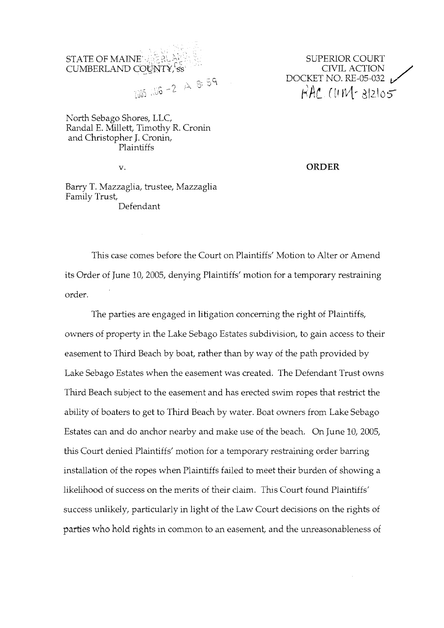

SUPERIOR COURT CIVIL ACTION DOCKET NO. RE-05-032 **(11 14-** *3/2\05* 

North Sebago Shores, LLC, Randal E. Millett, Timothy R. Cronin and Christopher J. Cronin, Plaintiffs

v.

ORDER

Barry T. Mazzaglia, trustee, Mazzaglia Family Trust, Defendant

This case comes before the Court on Plaintiffs' Motion to Alter or Amend its Order of June 10, 2005, denying Plaintiffs' motion for a temporary restraining order.

The parties are engaged in litigation concerning the right of Plaintiffs, owners of property in the Lake Sebago Estates subdivision, to gain access to their easement to Third Beach by boat, rather than by way of the path provided by Lake Sebago Estates when the easement was created. The Defendant Trust owns Third Beach subject to the easement and has erected swim ropes that restrict the ability of boaters to get to Third Beach by water. Boat owners from Lake Sebago Estates can and do anchor nearby and make use of the beach. On June 10,2005, this Court denied Plaintiffs' motion for a temporary restraining order barring installation of the ropes when Plaintiffs failed to meet their burden of showing a likelihood of success on the merits of their claim. This Court found Plaintiffs' success unlikeiy, particularly in light of the Law Court decisions on the rights of parties who hold rights in common to an easement, and the unreasonableness of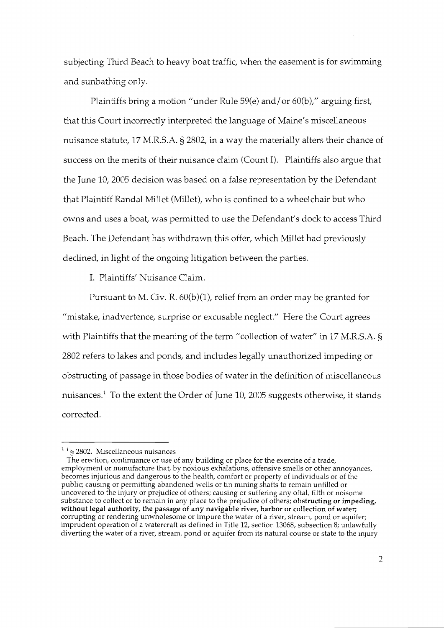subjecting Third Beach to heavy boat traffic, when the easement is for swimming and sunbathing only.

Plaintiffs bring a motion "under Rule 59(e) and/or 60(b)," arguing first, that this Court incorrectly interpreted the language of Maine's miscellaneous nuisance statute, 17 M.R.S.A. § 2802, in a way the materially alters their chance of success on the merits of their nuisance claim (Count I). Plaintiffs also argue that the June 10,2005 decision was based on a false representation by the Defendant that Plaintiff Randal Millet (Millet), who is confined to a wheelchair but who owns and uses a boat, was permitted to use the Defendant's dock to access Third Beach. The Defendant has withdrawn this offer, which Millet had previously declined, in light of the ongoing litigation between the parties.

I. Flaintiffs' Nuisance Claim.

Pursuant to M. Civ. R.  $60(b)(1)$ , relief from an order may be granted for **I/** mistake, inadvertence, surprise or excusable neglect." Here the Court agrees with Plaintiffs that the meaning of the term "collection of water" in 17 M.R.S.A. § 2802 refers to lakes and ponds, and includes legally unauthorized impeding or obstructing of passage in those bodies of water in the definition of miscellaneous nuisances.<sup>1</sup> To the extent the Order of June 10, 2005 suggests otherwise, it stands corrected.

<sup>&#</sup>x27; *5* 2802. Miscellaneous nuisances

The erection, continuance or use of any building or place for the exercise of a trade, employment or manufacture that, by noxious exhalations, offensive smells or other annoyances, becomes injurious and dangerous to the health, comfort or property of individuals or of the public; causing or permitting abandoned wells or tin mining shafts to remain unfilled or uncovered to the injury or prejudice of others; causing or suffering any offal, filth or noisome substance to collect or to remain in any place to the prejudice of others; obstructing or impeding, without legal authority, the passage **of any** navigable river, harbor or collection **of** water; corrupting or rendering unwhoiesome or impure the water of a river, stream, pond or aquifer; imprudent operation of a watercraft as defined in Title 12, section 13068, subsection 8; unlawfully diverting the water of a river, stream, pond or aquifer from its natural course or state to the injury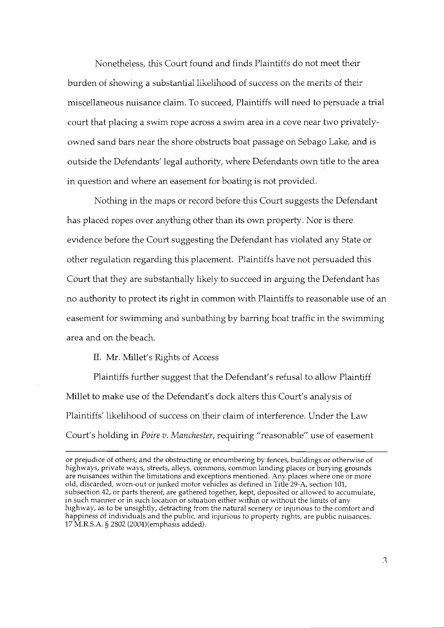Nonetheless, this Court found and finds Plaintiffs do not meet their burden of showing a substantial likelihood of success on the merits of their miscellaneous nuisance claim. To succeed, Plaintiffs will need to persuade a trial court that placing a swim rope across a swim area in a cove near two privatelyowned sand bars near the shore obstructs boat passage on Sebago Lake, and is outside the Defendants' legal authority, where Defendants own title to the area in question and where an easement for boating is not provided.

Nothing in the maps or record before this Court suggests the Defendant has placed ropes over anything other than its own property. Nor is there evidence before the Court suggesting the Defendant has violated any State or other regulation regarding this placement. Plaintiffs have not persuaded this Court that they are substantially likely to succeed in arguing the Defendant has no authority to protect its right in common with Plaintiffs to reasonable use of an easement for swimming and sunbathing by barring boat traffic in the swimming area and on the beach.

II. Mr. Millet's Rights of Access

Plaintiffs further suggest that the Defendant's refusal to allow Plaintiff Millet to make use of the Defendant's dock alters this Court's analysis of Plaintiffs' likelihood of success on their claim of interference. Under the Law Court's holding in *Poire v. Manchester*, requiring "reasonable" use of easement

or prejudice of others; and the obstructing or encumbering by fences, buildings or otherwise of highways, private ways, streets, alleys, commons, common landing places or burying grounds are nuisances within the limitations and exceptions mentioned. Any places where one or more old, discarded, worn-out or junked motor vehicles as defined in Title 29-A, section 101, subsection 42, or parts thereof, are gathered together, kept, deposited or allowed to accumulate, in such manner or in such location or situation either within or without the limits of any highway, as to be unsightly, detracting from the natural scenery or injurious to the comfort and happiness of individuals and the public, and injurious to property rights, are public nuisances. 17 M.R.S.A. *5* 2802 (ZOO4)(emphasis added).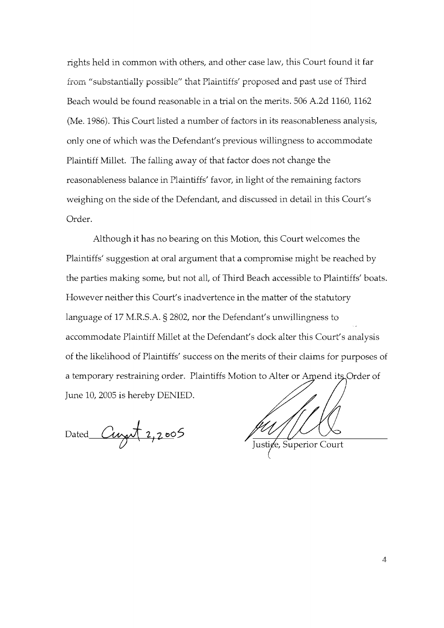rights held in common with others, and other case law, this Court found it far from "substantially possible" that Plaintiffs' proposed and past use of Third Beach would be found reasonable in a trial on the merits. 506 A.2d 1160, 1162 (Me. 1986). This Court listed a number of factors in its reasonableness analysis, only one of which was the Defendant's previous willingness to accommodate Plaintiff Millet. The falling away of that factor does not change the reasonableness balance in Plaintiffs' favor, in light of the remaining factors weighing on the side of the Defendant, and discussed in detail in this Court's Order.

Although it has no bearing on this Motion, this Court welcomes the Plaintiffs' suggestion at oral argument that a compromise might be reached by the parties making some, but not all, of Third Beach accessible to Plaintiffs' boats. However neither this Court's inadvertence in the matter of the statutory language of 17 M.R.S.A. § 2802, nor the Defendant's unwillingness to accommodate Plaintiff Millet at the Defendant's dock alter this Court's analysis of the likelihood of Plaintiffs' success on the merits of their claims for purposes of a temporary restraining order. Plaintiffs Motion to Alter or Amend its Order of June 10,2005 is hereby DENIED.

Dated *Curry* 2,2005

Justice, Superior Court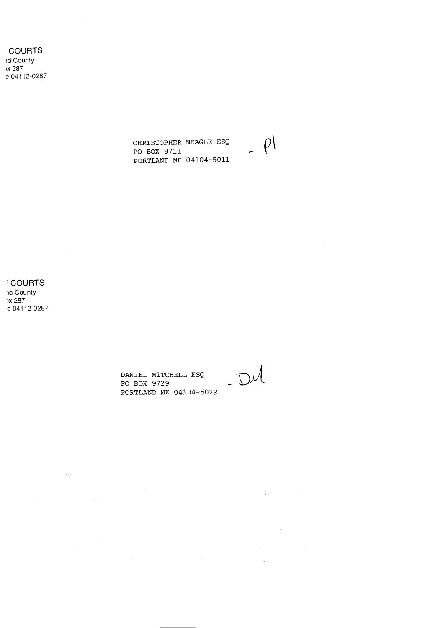**COURTS** id County x 287 e 04112-0287

> CHRISTOPHER NEAGLE ESQ PO BOX 9711 PORTLAND ME 04104-5011

**COURTS** ad County x 287 e 04112-0287

 $\label{eq:2.1} \frac{1}{\left\| \frac{1}{\| \mathbf{y} \|_{\mathbf{y}}^2} \right\|_{\mathbf{y}}^2} \leq \frac{1}{\| \mathbf{y} \|_{\mathbf{y}}^2} \leq \frac{1}{\| \mathbf{y} \|_{\mathbf{y}}^2} \leq \frac{1}{\| \mathbf{y} \|_{\mathbf{y}}^2} \leq \frac{1}{\| \mathbf{y} \|_{\mathbf{y}}^2}$ 

 $\label{eq:2.1} \frac{1}{\sqrt{2}}\int_{\mathbb{R}^3}\frac{1}{\sqrt{2}}\left(\frac{1}{\sqrt{2}}\right)^2\left(\frac{1}{\sqrt{2}}\right)^2\left(\frac{1}{\sqrt{2}}\right)^2\left(\frac{1}{\sqrt{2}}\right)^2\left(\frac{1}{\sqrt{2}}\right)^2.$ 

 $\mathcal{L}_{\text{max}}$  and  $\mathcal{L}_{\text{max}}$ 

 $\sim$   $\sim$ 

DANIEL MITCHELL ESQ PO BOX 9729 PORTLAND ME 04104-5029

 $D U$ 

 $\mathcal{L}^{\text{max}}_{\text{max}}$ 

 $\sim 10^{-10}$ 

 $\label{eq:1} \mathcal{L}(\mathbf{x}) = \mathcal{L}(\mathbf{x}) \mathcal{L}(\mathbf{x}) = \mathcal{L}(\mathbf{x}) \mathcal{L}(\mathbf{x})$ 

 $\Delta \sim 1$ 

 $\label{eq:2.1} \frac{d\mathbf{y}}{dt} = \frac{1}{2} \sum_{i=1}^n \frac{d\mathbf{y}}{dt} \left( \frac{d\mathbf{y}}{dt} \right) \left( \frac{d\mathbf{y}}{dt} \right) \left( \frac{d\mathbf{y}}{dt} \right)$ 

 $\rho$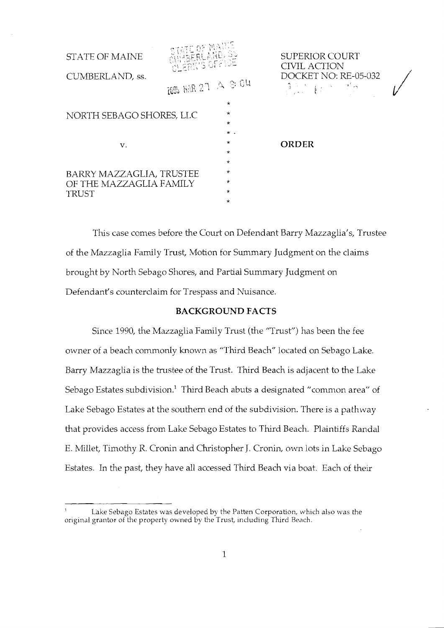| <b>STATE OF MAINE</b><br>CUMBERLAND, ss.                            | DUERK'S OFFICE<br>2006 HAR 27 A S: 04 |                                          | <b>SUPERIOR COURT</b><br><b>CIVIL ACTION</b><br>DOCKET NO: RE-05-032<br>$\mathbb{R}^n \times \mathbb{R}^n \rightarrow \mathbb{R}^n$ |  |
|---------------------------------------------------------------------|---------------------------------------|------------------------------------------|-------------------------------------------------------------------------------------------------------------------------------------|--|
| $\star$<br>$\star$<br>NORTH SEBAGO SHORES, LLC<br>$\star$           |                                       |                                          |                                                                                                                                     |  |
| v.                                                                  |                                       | $\star$ .<br>*<br>$\star$                | <b>ORDER</b>                                                                                                                        |  |
| BARRY MAZZAGLIA, TRUSTEE<br>OF THE MAZZAGLIA FAMILY<br><b>TRUST</b> |                                       | $\star$<br>*<br>$\star$<br>*<br>$^\star$ |                                                                                                                                     |  |

This case comes before the Court on Defendant Barry Mazzaglia's, Trustee of the Mazzaglia Family Trust, Motion for Summary Judgment on the claims brought by North Sebago Shores, and Partial Summary Judgment on Defendant's counterclaim for Trespass and Nuisance.

# **BACKGROUND FACTS**

Since 1990, the Mazzaglia Family Trust (the "Trust") has been the fee owner of a beach commonly known as "Third Beach" located on Sebago Lake. Barry Mazzaglia is the trustee of the Trust. Third Beach is adjacent to the Lake Sebago Estates subdivision.<sup>1</sup> Third Beach abuts a designated "common area" of Lake Sebago Estates at the southern end of the subdivision. There is a pathway that provides access from Lake Sebago Estates to Third Beach. Plaintiffs Randal E. Millet, Timothy R. Cronin and Christopher J. Cronin, own lots in Lake Sebago Estates. In the past, they have all accessed Thrd Beach via boat. Each of their

 $1$  Lake Sebago Estates was developed by the Patten Corporation, which also was the original grantor of the property owned by the Trust, including Third Reach.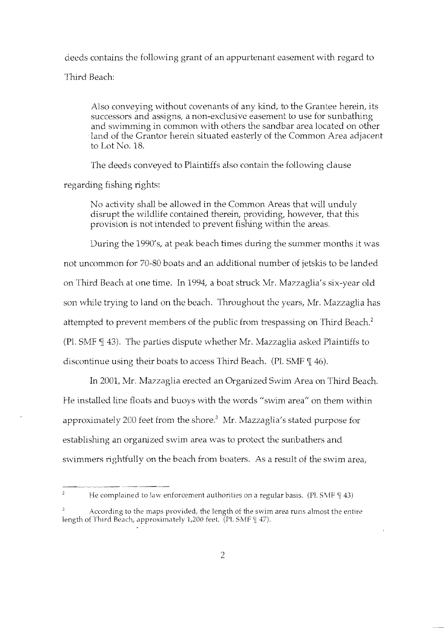deeds contains the following grant of an appurtenant easement with regard to Third Beach:

Also conveying without covenants of any kind, to the Grantee herein, its successors and assigns, a non-exclusive easement to use for sunbathing and swimming in common with others the sandbar area located on other land of the Grantor herein situated easterly of the Common Area adjacent to Lot No. 18.

The deeds conveyed to Plaintiffs also contain the following clause

regarding fishing rights:

No activity shall be allowed in the Common Areas that will unduly disrupt the wildlife contained therein, providing, however, that this provision is not intended to prevent fishing within the areas.

During the 1990's, at peak beach times during the summer months it was not uncommon for 70-80 boats and an additional number of jetskis to be landed on Third Beach at one time. In 1994, a boat struck Mr. Mazzaglia's six-year old son while trying to land on the beach. Throughout the years, Mr. Mazzaglia has attempted to prevent members of the public from trespassing on Third Beach.<sup>2</sup> (Pl. SMF  $\P$  43). The parties dispute whether Mr. Mazzaglia asked Plaintiffs to discontinue using their boats to access Thrd Beach. (Pl. SMF **91** 46).

In 2001, Mr. Mazzaglia erected an Organized Swim Area on Third Beach. He installed line floats and buoys with the words "swim area" on them within approximately 200 feet from the shore. $3\,$  Mr. Mazzaglia's stated purpose for establishing an organized swim area was to protect the sunbathers and swimmers rightfully on the beach from boaters. As a result of the swim area,

He complained to law enforcement authorities on a regular basis. (Pl. SMF  $\P$  43)

According to the maps provided, the length of the swim area runs almost the entire length of Third Beach, approximately 1,200 feet. (Pl. SMF [ 47).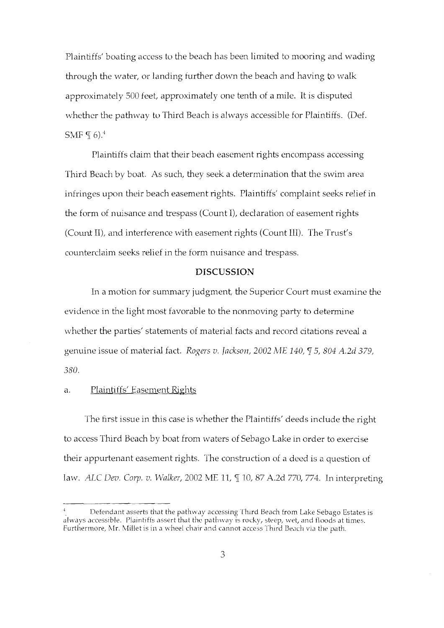Plaintiffs' boating access to the beach has been limited to mooring and wading through the water, or landing further down the beach and having to walk approximately 500 feet, approximately one tenth of a mile. It is disputed whether the pathway to Third Beach is always accessible for Plaintiffs. (Def. SMF  $\P$  6).<sup>4</sup>

Plaintiffs claim that their beach easement rights encompass accessing Third Beach by boat. As such, they seek a determination that the swim area infringes upon their beach easement rights. Plaintiffs' complaint seeks relief in the form of nuisance and trespass (Count I), declaration of easement rights (Count 11), and interference with easement rights (Count 111). The Trust's counterclaim seeks relief in the form nuisance and trespass.

### DISCUSSION

In a motion for summary judgment, the Superior Court must examine the evidence in the light most favorable to the nonmoving party to determine whether the parties' statements of material facts and record citations reveal a genuine issue of material fact. *Rogers v. Jackson, 2002 ME 140, 5, 804 A.2d 379, 380.* 

# a. Plaintiffs' Easement Rights

The first issue in this case is whether the Plaintiffs' deeds include the right to access Third Beach by boat from waters of Sebago Lake in order to exercise their appurtenant easement rights. The construction of a deed is a question of law. ALC *Dev. Corp. v. Walker*, 2002 ME 11, ¶ 10, 87 A.2d 770, 774. In interpreting

Defendant asserts that the pathway accessing Third Beach from Lake Sebago Estates is always accessible. Plaintiffs assert that the pathway is rocky, steep, wet, and floods at times. Furthermore, Mr. Millet is in a wheel chair and cannot access Third Beach via the path.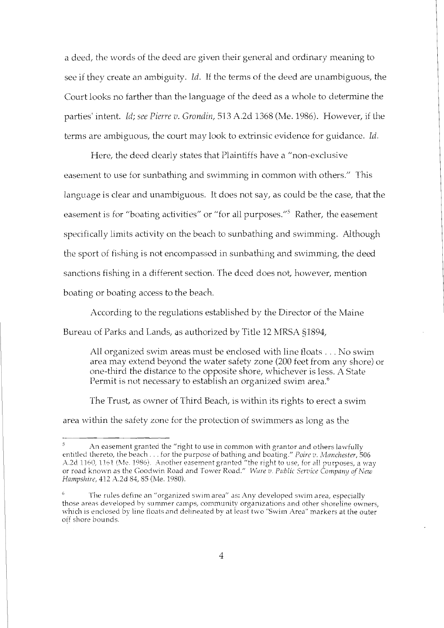a deed, the words of the deed are given their general and ordinary meaning to see if they create an ambiguity. *Id.* If the terms of the deed are unambiguous, the Court looks no farther than the language of the deed as a whole to determine the parties' intent. *Id; see Pierre v. Grondin,* 513 A.2d 1368 (Me. 1986). However, if the terms are ambiguous, the court may look to extrinsic evidence for guidance. *Icl.* 

Here, the deed clearly states that Plaintiffs have a "non-exclusive easement to use for sunbathing and swimming in common with others." This language is clear and unambiguous. It does not say, as could be the case, that the easement is for "boating activities" or "for all purposes."<sup>5</sup> Rather, the easement specifically limits activity on the beach to sunbathing and swimming. Although the sport of fishing is not encompassed in sunbathing and swimming, the deed sanctions fishing in a different section. The dced does not, however, mention boating or boating access to the beach

According to the regulations established by the Director of the Maine Bureau of Parks and Lands, as authorized by Title 12 MRSA 51894,

All organized swim areas must be enclosed with line floats  $\dots$  No swim area may extend beyond the water safety zone (200 feet from any shore) or one-third the distance to the opposite shore, whichever is less. A State Permit is not necessary to establish an organized swim area.<sup>6</sup>

The Trust, as owner of Third Beach, is within its rights to erect a swim area within the safety zone for the protection of swimmers as long as the

*<sup>3</sup>*An easement granted the "right to use in common with grantor and others lawfully entitled thereto, the beach. . . for the purpose of bathing and boating." *Poire* **v.** *12/Ianchesfer,* 506 A.2d 1160, 1161 (Me. 1986). Another easement granted "the right to use, for all purposes, a way or road known as the Goodwin Road and Tower Road." Ware v. Public Service Company of New Hampshire, 412 A.2d 84, 85 (Me. 1980).

**<sup>6</sup>**The rules define an "organized swim area" as: Any developed swim area, especially those areas developed by summer camps, community organizations and other shoreline owners, which is enclosed by line floats and delineated by at least two "Swim Area" markers at the outer off shore bounds.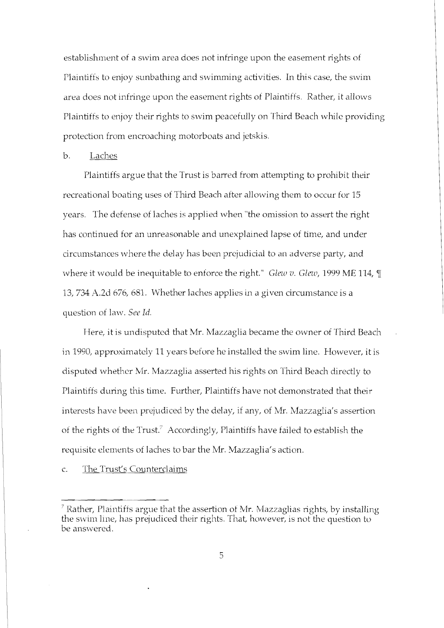establishment of a swim area does not infringe upon the easement rights of Plaintiffs to enjoy sunbathing and swimming activities. In this case, the swim area does not infringe upon the easement rights of Plaintifts. Rather, it allows Plaintiffs to enjoy their rights to swim peacefully on Thrd Beach while providing protection from encroaching motorboats and jetskis.

# b. Laches

Plaintiffs argue that the Trust is barred from attempting to prohibit their recreational boating uses of Third Beach after allowing them to occur for 15 years. The defense of laches is applied when "the omission to assert the right has continued for an unreasonable and unexplained lapse of time, and under circumstances where the delay has been prejudicial to an adverse party, and where it would be inequitable to enforce the right." *Glew v. Glew*, 1999 ME 114, ¶ 13,734 A.2d 676, 681. Whether laches applies in a given circumstance is a question of law. See Id.

Here, it is undisputed that Mr. Mazzaglia became the owner of Third Beach in 1990, approximately 11 years before he installed the swim line. However, it is disputed whether Mr. Mazzaglia asserted his rights on Thrd Beach directly to Plaintiffs during this time. Further, Plaintiffs have not demonstrated that their interests have been prejudiced by the delay, if any, of Mr. Mazzaglia's assertion of the rights of the Trust.' Accordingly, Plaintiffs have failed to establish the requisite elements of laches to bar the Mr. Mazzaglia's action.

c. The Trust's Counterclaims

<sup>-</sup>   $\frac{7}{1}$  Rather, Plaintiffs argue that the assertion of Mr. Mazzaglias rights, by installing the swim line, has prejudiced their rights. That, however, is not the question to be answered.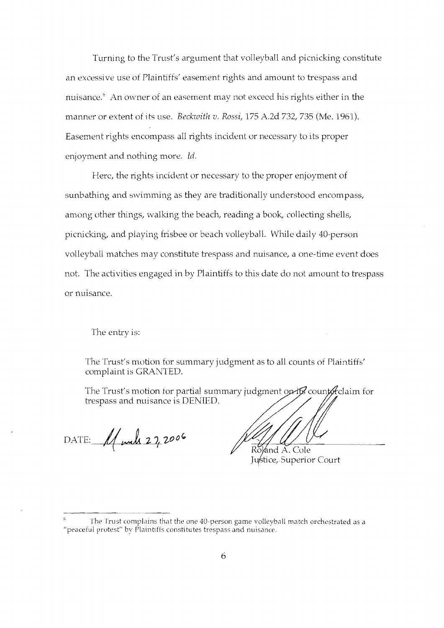Turning to the Trust's argument that volleyball and picnicking constitute an excessive use of Plaintiffs' easement rights and amount to trespass and nuisance. $\delta$  An owner of an easement may not exceed his rights either in the manner or extent of its use. *Beckwith* v. Rossi, 175 A.2d 732, 735 (Me. 1961). Easement rights encompass all rights incident or necessary to its proper enjoyment and nothing more. Id.

Here, the rights incident or necessary to the proper enjoyment of sunbathing and swimming as they are traditionally understood encompass, among other things, walking the beach, reading a book, collecting shells, picnicking, and playing frisbee or beach volleyball. While daily 40-person volleyball matches may constitute trespass and nuisance, a one-time event does not. The activities engaged in by Plaintiffs to this date do not amount to trespass or nuisance.

The entry is:

The Trust's motion for summary judgment as to all counts of Plaintiffs' complaint is GRANTED.

The Trust's motion for partial summary judgment opits counterclaim for trespass and nuisance is DENIED.

DATE: 11 mal 27,2006

ánd A. Cole Justice, Superior Court

The Trust complains that the one 40-person game volleyball match orchestrated as a "peaceful protest" by Plaintiffs constitutes trespass and nuisance.